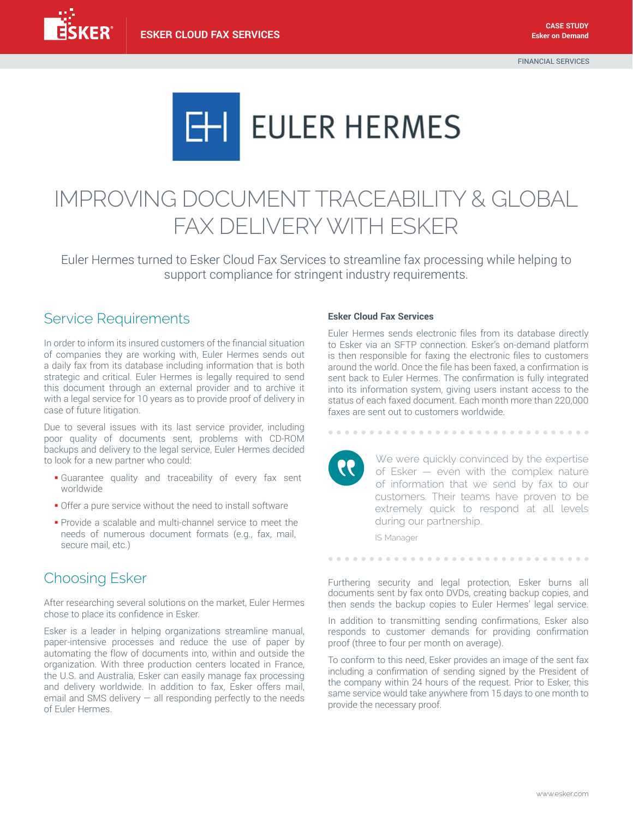

# IMPROVING DOCUMENT TRACEABILITY & GLOBAL FAX DELIVERY WITH ESKER

Euler Hermes turned to Esker Cloud Fax Services to streamline fax processing while helping to support compliance for stringent industry requirements.

## Service Requirements

In order to inform its insured customers of the financial situation of companies they are working with, Euler Hermes sends out a daily fax from its database including information that is both strategic and critical. Euler Hermes is legally required to send this document through an external provider and to archive it with a legal service for 10 years as to provide proof of delivery in case of future litigation.

Due to several issues with its last service provider, including poor quality of documents sent, problems with CD-ROM backups and delivery to the legal service, Euler Hermes decided to look for a new partner who could:

- § Guarantee quality and traceability of every fax sent worldwide
- Offer a pure service without the need to install software
- § Provide a scalable and multi-channel service to meet the needs of numerous document formats (e.g., fax, mail, secure mail, etc.)

## Choosing Esker

After researching several solutions on the market, Euler Hermes chose to place its confidence in Esker.

Esker is a leader in helping organizations streamline manual, paper-intensive processes and reduce the use of paper by automating the flow of documents into, within and outside the organization. With three production centers located in France, the U.S. and Australia, Esker can easily manage fax processing and delivery worldwide. In addition to fax, Esker offers mail, email and SMS delivery  $-$  all responding perfectly to the needs of Euler Hermes.

#### **Esker Cloud Fax Services**

Euler Hermes sends electronic files from its database directly to Esker via an SFTP connection. Esker's on-demand platform is then responsible for faxing the electronic files to customers around the world. Once the file has been faxed, a confirmation is sent back to Euler Hermes. The confirmation is fully integrated into its information system, giving users instant access to the status of each faxed document. Each month more than 220,000 faxes are sent out to customers worldwide.

> We were quickly convinced by the expertise of Esker — even with the complex nature of information that we send by fax to our customers. Their teams have proven to be extremely quick to respond at all levels during our partnership.

IS Manager

Furthering security and legal protection, Esker burns all documents sent by fax onto DVDs, creating backup copies, and then sends the backup copies to Euler Hermes' legal service.

................................

In addition to transmitting sending confirmations, Esker also responds to customer demands for providing confirmation proof (three to four per month on average).

To conform to this need, Esker provides an image of the sent fax including a confirmation of sending signed by the President of the company within 24 hours of the request. Prior to Esker, this same service would take anywhere from 15 days to one month to provide the necessary proof.